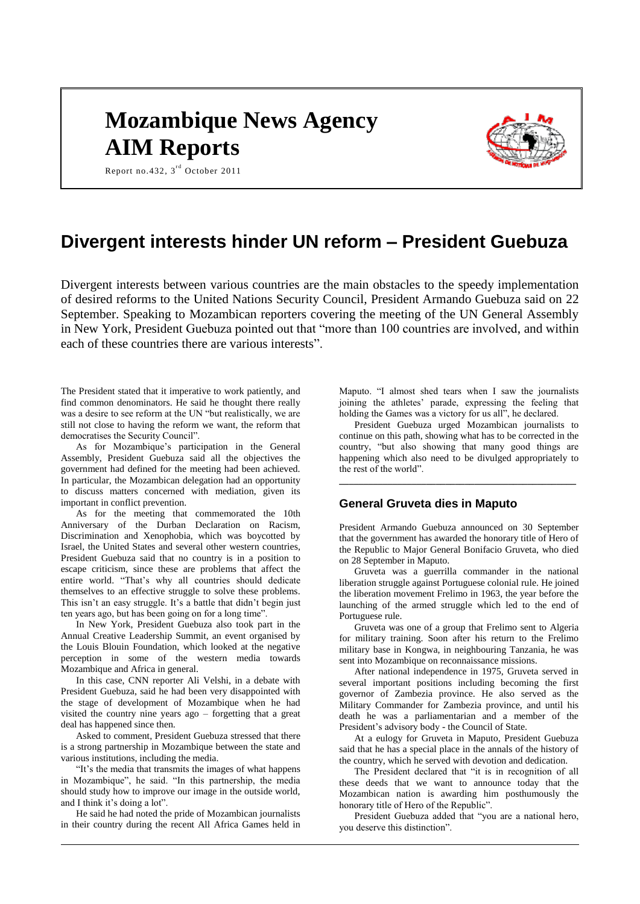# **Mozambique News Agency AIM Reports**



# Report no. 432,  $3^{\text{rd}}$  October 2011

# **Divergent interests hinder UN reform – President Guebuza**

Divergent interests between various countries are the main obstacles to the speedy implementation of desired reforms to the United Nations Security Council, President Armando Guebuza said on 22 September. Speaking to Mozambican reporters covering the meeting of the UN General Assembly in New York, President Guebuza pointed out that "more than 100 countries are involved, and within each of these countries there are various interests".

The President stated that it imperative to work patiently, and find common denominators. He said he thought there really was a desire to see reform at the UN "but realistically, we are still not close to having the reform we want, the reform that democratises the Security Council".

As for Mozambique's participation in the General Assembly, President Guebuza said all the objectives the government had defined for the meeting had been achieved. In particular, the Mozambican delegation had an opportunity to discuss matters concerned with mediation, given its important in conflict prevention.

As for the meeting that commemorated the 10th Anniversary of the Durban Declaration on Racism, Discrimination and Xenophobia, which was boycotted by Israel, the United States and several other western countries, President Guebuza said that no country is in a position to escape criticism, since these are problems that affect the entire world. "That's why all countries should dedicate themselves to an effective struggle to solve these problems. This isn't an easy struggle. It's a battle that didn't begin just ten years ago, but has been going on for a long time".

In New York, President Guebuza also took part in the Annual Creative Leadership Summit, an event organised by the Louis Blouin Foundation, which looked at the negative perception in some of the western media towards Mozambique and Africa in general.

In this case, CNN reporter Ali Velshi, in a debate with President Guebuza, said he had been very disappointed with the stage of development of Mozambique when he had visited the country nine years ago – forgetting that a great deal has happened since then.

Asked to comment, President Guebuza stressed that there is a strong partnership in Mozambique between the state and various institutions, including the media.

"It's the media that transmits the images of what happens in Mozambique", he said. "In this partnership, the media should study how to improve our image in the outside world, and I think it's doing a lot".

He said he had noted the pride of Mozambican journalists in their country during the recent All Africa Games held in Maputo. "I almost shed tears when I saw the journalists joining the athletes' parade, expressing the feeling that holding the Games was a victory for us all", he declared.

President Guebuza urged Mozambican journalists to continue on this path, showing what has to be corrected in the country, "but also showing that many good things are happening which also need to be divulged appropriately to the rest of the world".

**\_\_\_\_\_\_\_\_\_\_\_\_\_\_\_\_\_\_\_\_\_\_\_\_\_\_\_\_\_\_\_\_\_\_\_\_\_\_\_\_\_\_\_\_\_\_\_\_\_**

## **General Gruveta dies in Maputo**

President Armando Guebuza announced on 30 September that the government has awarded the honorary title of Hero of the Republic to Major General Bonifacio Gruveta, who died on 28 September in Maputo.

Gruveta was a guerrilla commander in the national liberation struggle against Portuguese colonial rule. He joined the liberation movement Frelimo in 1963, the year before the launching of the armed struggle which led to the end of Portuguese rule.

Gruveta was one of a group that Frelimo sent to Algeria for military training. Soon after his return to the Frelimo military base in Kongwa, in neighbouring Tanzania, he was sent into Mozambique on reconnaissance missions.

After national independence in 1975, Gruveta served in several important positions including becoming the first governor of Zambezia province. He also served as the Military Commander for Zambezia province, and until his death he was a parliamentarian and a member of the President's advisory body - the Council of State.

At a eulogy for Gruveta in Maputo, President Guebuza said that he has a special place in the annals of the history of the country, which he served with devotion and dedication.

The President declared that "it is in recognition of all these deeds that we want to announce today that the Mozambican nation is awarding him posthumously the honorary title of Hero of the Republic".

President Guebuza added that "you are a national hero, you deserve this distinction".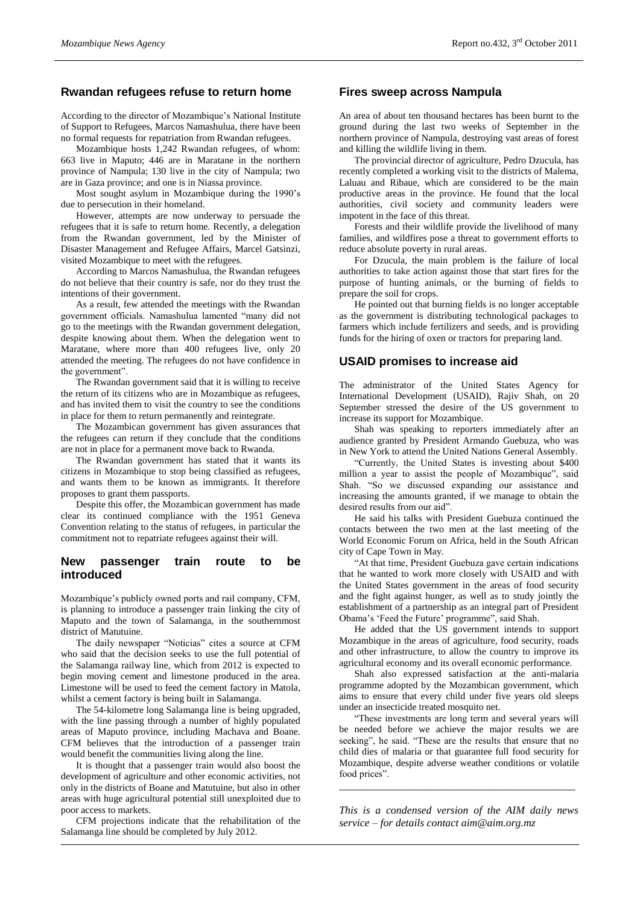#### **Rwandan refugees refuse to return home**

According to the director of Mozambique's National Institute of Support to Refugees, Marcos Namashulua, there have been no formal requests for repatriation from Rwandan refugees.

Mozambique hosts 1,242 Rwandan refugees, of whom: 663 live in Maputo; 446 are in Maratane in the northern province of Nampula; 130 live in the city of Nampula; two are in Gaza province; and one is in Niassa province.

Most sought asylum in Mozambique during the 1990's due to persecution in their homeland.

However, attempts are now underway to persuade the refugees that it is safe to return home. Recently, a delegation from the Rwandan government, led by the Minister of Disaster Management and Refugee Affairs, Marcel Gatsinzi, visited Mozambique to meet with the refugees.

According to Marcos Namashulua, the Rwandan refugees do not believe that their country is safe, nor do they trust the intentions of their government.

As a result, few attended the meetings with the Rwandan government officials. Namashulua lamented "many did not go to the meetings with the Rwandan government delegation, despite knowing about them. When the delegation went to Maratane, where more than 400 refugees live, only 20 attended the meeting. The refugees do not have confidence in the government".

The Rwandan government said that it is willing to receive the return of its citizens who are in Mozambique as refugees, and has invited them to visit the country to see the conditions in place for them to return permanently and reintegrate.

The Mozambican government has given assurances that the refugees can return if they conclude that the conditions are not in place for a permanent move back to Rwanda.

The Rwandan government has stated that it wants its citizens in Mozambique to stop being classified as refugees, and wants them to be known as immigrants. It therefore proposes to grant them passports.

Despite this offer, the Mozambican government has made clear its continued compliance with the 1951 Geneva Convention relating to the status of refugees, in particular the commitment not to repatriate refugees against their will.

#### **New passenger train route to be introduced**

Mozambique's publicly owned ports and rail company, CFM, is planning to introduce a passenger train linking the city of Maputo and the town of Salamanga, in the southernmost district of Matutuine.

The daily newspaper "Noticias" cites a source at CFM who said that the decision seeks to use the full potential of the Salamanga railway line, which from 2012 is expected to begin moving cement and limestone produced in the area. Limestone will be used to feed the cement factory in Matola, whilst a cement factory is being built in Salamanga.

The 54-kilometre long Salamanga line is being upgraded, with the line passing through a number of highly populated areas of Maputo province, including Machava and Boane. CFM believes that the introduction of a passenger train would benefit the communities living along the line.

It is thought that a passenger train would also boost the development of agriculture and other economic activities, not only in the districts of Boane and Matutuine, but also in other areas with huge agricultural potential still unexploited due to poor access to markets.

CFM projections indicate that the rehabilitation of the Salamanga line should be completed by July 2012.

#### **Fires sweep across Nampula**

An area of about ten thousand hectares has been burnt to the ground during the last two weeks of September in the northern province of Nampula, destroying vast areas of forest and killing the wildlife living in them.

The provincial director of agriculture, Pedro Dzucula, has recently completed a working visit to the districts of Malema, Laluau and Ribaue, which are considered to be the main productive areas in the province. He found that the local authorities, civil society and community leaders were impotent in the face of this threat.

Forests and their wildlife provide the livelihood of many families, and wildfires pose a threat to government efforts to reduce absolute poverty in rural areas.

For Dzucula, the main problem is the failure of local authorities to take action against those that start fires for the purpose of hunting animals, or the burning of fields to prepare the soil for crops.

He pointed out that burning fields is no longer acceptable as the government is distributing technological packages to farmers which include fertilizers and seeds, and is providing funds for the hiring of oxen or tractors for preparing land.

#### **USAID promises to increase aid**

The administrator of the United States Agency for International Development (USAID), Rajiv Shah, on 20 September stressed the desire of the US government to increase its support for Mozambique.

Shah was speaking to reporters immediately after an audience granted by President Armando Guebuza, who was in New York to attend the United Nations General Assembly.

"Currently, the United States is investing about \$400 million a year to assist the people of Mozambique", said Shah. "So we discussed expanding our assistance and increasing the amounts granted, if we manage to obtain the desired results from our aid".

He said his talks with President Guebuza continued the contacts between the two men at the last meeting of the World Economic Forum on Africa, held in the South African city of Cape Town in May.

"At that time, President Guebuza gave certain indications that he wanted to work more closely with USAID and with the United States government in the areas of food security and the fight against hunger, as well as to study jointly the establishment of a partnership as an integral part of President Obama's 'Feed the Future' programme", said Shah.

He added that the US government intends to support Mozambique in the areas of agriculture, food security, roads and other infrastructure, to allow the country to improve its agricultural economy and its overall economic performance.

Shah also expressed satisfaction at the anti-malaria programme adopted by the Mozambican government, which aims to ensure that every child under five years old sleeps under an insecticide treated mosquito net.

"These investments are long term and several years will be needed before we achieve the major results we are seeking", he said. "These are the results that ensure that no child dies of malaria or that guarantee full food security for Mozambique, despite adverse weather conditions or volatile food prices".

*This is a condensed version of the AIM daily news service – for details contact [aim@aim.org.mz](mailto:aim@aim.org.mz)*

*\_\_\_\_\_\_\_\_\_\_\_\_\_\_\_\_\_\_\_\_\_\_\_\_\_\_\_\_\_\_\_\_\_\_\_\_\_\_\_\_\_\_\_\_*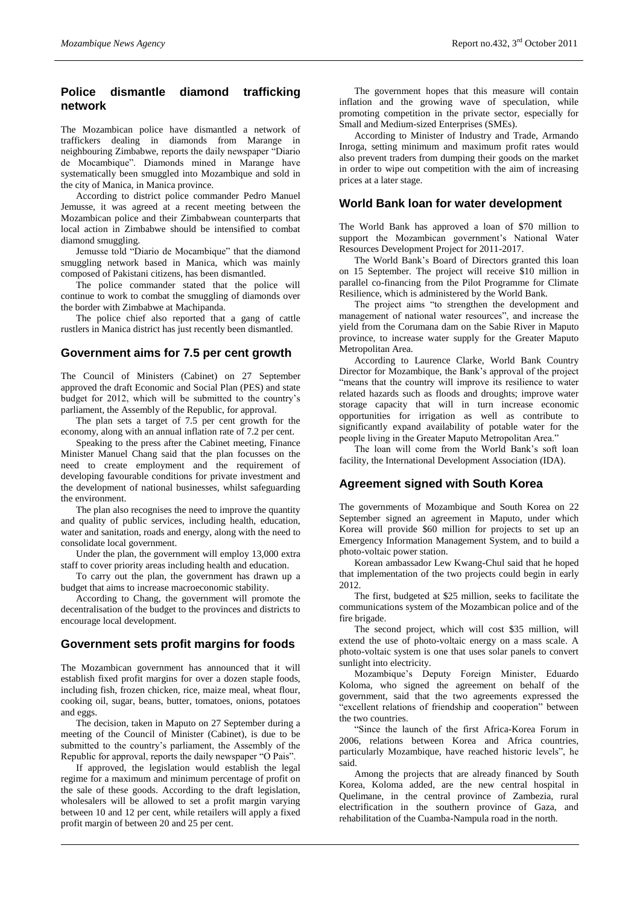# **Police dismantle diamond trafficking network**

The Mozambican police have dismantled a network of traffickers dealing in diamonds from Marange in neighbouring Zimbabwe, reports the daily newspaper "Diario de Mocambique". Diamonds mined in Marange have systematically been smuggled into Mozambique and sold in the city of Manica, in Manica province.

According to district police commander Pedro Manuel Jemusse, it was agreed at a recent meeting between the Mozambican police and their Zimbabwean counterparts that local action in Zimbabwe should be intensified to combat diamond smuggling.

Jemusse told "Diario de Mocambique" that the diamond smuggling network based in Manica, which was mainly composed of Pakistani citizens, has been dismantled.

The police commander stated that the police will continue to work to combat the smuggling of diamonds over the border with Zimbabwe at Machipanda.

The police chief also reported that a gang of cattle rustlers in Manica district has just recently been dismantled.

# **Government aims for 7.5 per cent growth**

The Council of Ministers (Cabinet) on 27 September approved the draft Economic and Social Plan (PES) and state budget for 2012, which will be submitted to the country's parliament, the Assembly of the Republic, for approval.

The plan sets a target of 7.5 per cent growth for the economy, along with an annual inflation rate of 7.2 per cent.

Speaking to the press after the Cabinet meeting, Finance Minister Manuel Chang said that the plan focusses on the need to create employment and the requirement of developing favourable conditions for private investment and the development of national businesses, whilst safeguarding the environment.

The plan also recognises the need to improve the quantity and quality of public services, including health, education, water and sanitation, roads and energy, along with the need to consolidate local government.

Under the plan, the government will employ 13,000 extra staff to cover priority areas including health and education.

To carry out the plan, the government has drawn up a budget that aims to increase macroeconomic stability.

According to Chang, the government will promote the decentralisation of the budget to the provinces and districts to encourage local development.

# **Government sets profit margins for foods**

The Mozambican government has announced that it will establish fixed profit margins for over a dozen staple foods, including fish, frozen chicken, rice, maize meal, wheat flour, cooking oil, sugar, beans, butter, tomatoes, onions, potatoes and eggs.

The decision, taken in Maputo on 27 September during a meeting of the Council of Minister (Cabinet), is due to be submitted to the country's parliament, the Assembly of the Republic for approval, reports the daily newspaper "O Pais".

If approved, the legislation would establish the legal regime for a maximum and minimum percentage of profit on the sale of these goods. According to the draft legislation, wholesalers will be allowed to set a profit margin varying between 10 and 12 per cent, while retailers will apply a fixed profit margin of between 20 and 25 per cent.

The government hopes that this measure will contain inflation and the growing wave of speculation, while promoting competition in the private sector, especially for Small and Medium-sized Enterprises (SMEs).

According to Minister of Industry and Trade, Armando Inroga, setting minimum and maximum profit rates would also prevent traders from dumping their goods on the market in order to wipe out competition with the aim of increasing prices at a later stage.

## **World Bank loan for water development**

The World Bank has approved a loan of \$70 million to support the Mozambican government's National Water Resources Development Project for 2011-2017.

The World Bank's Board of Directors granted this loan on 15 September. The project will receive \$10 million in parallel co-financing from the Pilot Programme for Climate Resilience, which is administered by the World Bank.

The project aims "to strengthen the development and management of national water resources", and increase the yield from the Corumana dam on the Sabie River in Maputo province, to increase water supply for the Greater Maputo Metropolitan Area.

According to Laurence Clarke, World Bank Country Director for Mozambique, the Bank's approval of the project "means that the country will improve its resilience to water related hazards such as floods and droughts; improve water storage capacity that will in turn increase economic opportunities for irrigation as well as contribute to significantly expand availability of potable water for the people living in the Greater Maputo Metropolitan Area."

The loan will come from the World Bank's soft loan facility, the International Development Association (IDA).

# **Agreement signed with South Korea**

The governments of Mozambique and South Korea on 22 September signed an agreement in Maputo, under which Korea will provide \$60 million for projects to set up an Emergency Information Management System, and to build a photo-voltaic power station.

Korean ambassador Lew Kwang-Chul said that he hoped that implementation of the two projects could begin in early 2012.

The first, budgeted at \$25 million, seeks to facilitate the communications system of the Mozambican police and of the fire brigade.

The second project, which will cost \$35 million, will extend the use of photo-voltaic energy on a mass scale. A photo-voltaic system is one that uses solar panels to convert sunlight into electricity.

Mozambique's Deputy Foreign Minister, Eduardo Koloma, who signed the agreement on behalf of the government, said that the two agreements expressed the "excellent relations of friendship and cooperation" between the two countries.

"Since the launch of the first Africa-Korea Forum in 2006, relations between Korea and Africa countries, particularly Mozambique, have reached historic levels", he said.

Among the projects that are already financed by South Korea, Koloma added, are the new central hospital in Quelimane, in the central province of Zambezia, rural electrification in the southern province of Gaza, and rehabilitation of the Cuamba-Nampula road in the north.